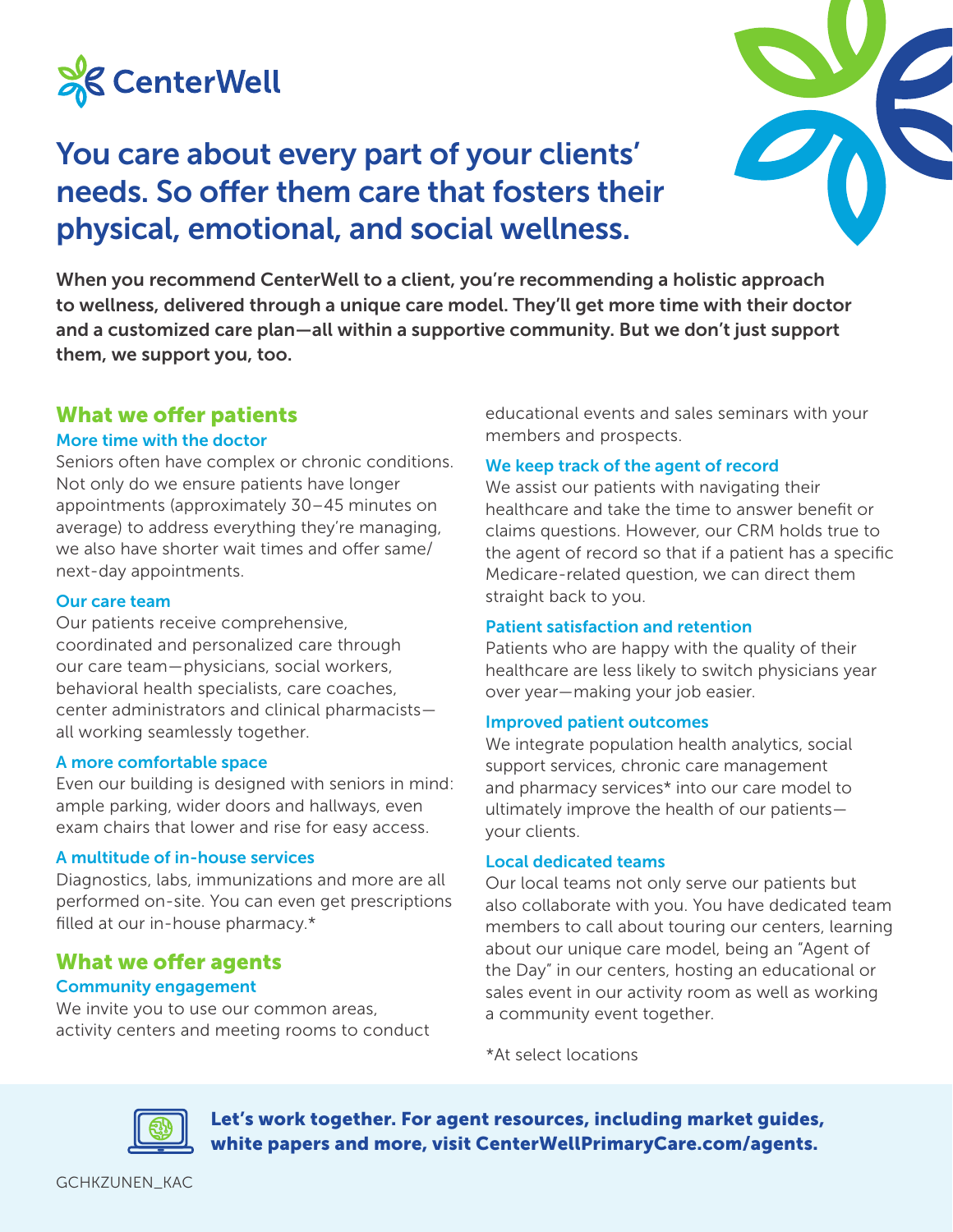

# You care about every part of your clients' needs. So offer them care that fosters their physical, emotional, and social wellness.



When you recommend CenterWell to a client, you're recommending a holistic approach to wellness, delivered through a unique care model. They'll get more time with their doctor and a customized care plan—all within a supportive community. But we don't just support them, we support you, too.

# What we offer patients

#### More time with the doctor

Seniors often have complex or chronic conditions. Not only do we ensure patients have longer appointments (approximately 30–45 minutes on average) to address everything they're managing, we also have shorter wait times and offer same/ next-day appointments.

#### Our care team

Our patients receive comprehensive, coordinated and personalized care through our care team—physicians, social workers, behavioral health specialists, care coaches, center administrators and clinical pharmacists all working seamlessly together.

#### A more comfortable space

Even our building is designed with seniors in mind: ample parking, wider doors and hallways, even exam chairs that lower and rise for easy access.

#### A multitude of in-house services

Diagnostics, labs, immunizations and more are all performed on-site. You can even get prescriptions filled at our in-house pharmacy.\*

# What we offer agents Community engagement

We invite you to use our common areas, activity centers and meeting rooms to conduct educational events and sales seminars with your members and prospects.

#### We keep track of the agent of record

We assist our patients with navigating their healthcare and take the time to answer benefit or claims questions. However, our CRM holds true to the agent of record so that if a patient has a specific Medicare-related question, we can direct them straight back to you.

# Patient satisfaction and retention

Patients who are happy with the quality of their healthcare are less likely to switch physicians year over year—making your job easier.

#### Improved patient outcomes

We integrate population health analytics, social support services, chronic care management and pharmacy services\* into our care model to ultimately improve the health of our patients your clients.

#### Local dedicated teams

Our local teams not only serve our patients but also collaborate with you. You have dedicated team members to call about touring our centers, learning about our unique care model, being an "Agent of the Day" in our centers, hosting an educational or sales event in our activity room as well as working a community event together.

\*At select locations



Let's work together. For agent resources, including market guides, white papers and more, visit CenterWellPrimaryCare.com/agents.